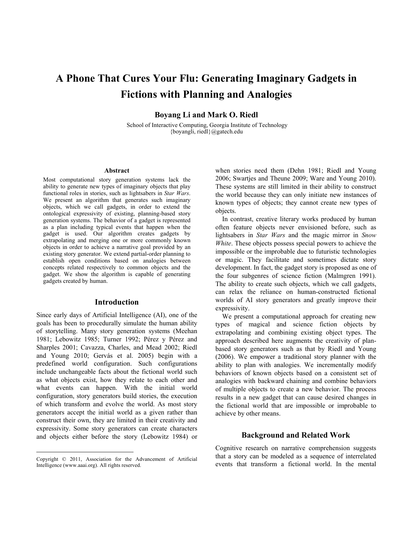# **A Phone That Cures Your Flu: Generating Imaginary Gadgets in Fictions with Planning and Analogies**

**Boyang Li and Mark O. Riedl** 

 School of Interactive Computing, Georgia Institute of Technology {boyangli, riedl}@gatech.edu

#### **Abstract**

Most computational story generation systems lack the ability to generate new types of imaginary objects that play functional roles in stories, such as lightsabers in *Star Wars*. We present an algorithm that generates such imaginary objects, which we call gadgets, in order to extend the ontological expressivity of existing, planning-based story generation systems. The behavior of a gadget is represented as a plan including typical events that happen when the gadget is used. Our algorithm creates gadgets by extrapolating and merging one or more commonly known objects in order to achieve a narrative goal provided by an existing story generator. We extend partial-order planning to establish open conditions based on analogies between concepts related respectively to common objects and the gadget. We show the algorithm is capable of generating gadgets created by human.

## **Introduction**

Since early days of Artificial Intelligence (AI), one of the goals has been to procedurally simulate the human ability of storytelling. Many story generation systems (Meehan 1981; Lebowitz 1985; Turner 1992; Pérez y Pérez and Sharples 2001; Cavazza, Charles, and Mead 2002; Riedl and Young 2010; Gervás et al. 2005) begin with a predefined world configuration. Such configurations include unchangeable facts about the fictional world such as what objects exist, how they relate to each other and what events can happen. With the initial world configuration, story generators build stories, the execution of which transform and evolve the world. As most story generators accept the initial world as a given rather than construct their own, they are limited in their creativity and expressivity. Some story generators can create characters and objects either before the story (Lebowitz 1984) or

Copyright © 2011, Association for the Advancement of Artificial Intelligence (www.aaai.org). All rights reserved.

 $\overline{a}$ 

when stories need them (Dehn 1981; Riedl and Young 2006; Swartjes and Theune 2009; Ware and Young 2010). These systems are still limited in their ability to construct the world because they can only initiate new instances of known types of objects; they cannot create new types of objects.

In contrast, creative literary works produced by human often feature objects never envisioned before, such as lightsabers in *Star Wars* and the magic mirror in *Snow White*. These objects possess special powers to achieve the impossible or the improbable due to futuristic technologies or magic. They facilitate and sometimes dictate story development. In fact, the gadget story is proposed as one of the four subgenres of science fiction (Malmgren 1991). The ability to create such objects, which we call gadgets, can relax the reliance on human-constructed fictional worlds of AI story generators and greatly improve their expressivity.

We present a computational approach for creating new types of magical and science fiction objects by extrapolating and combining existing object types. The approach described here augments the creativity of planbased story generators such as that by Riedl and Young (2006). We empower a traditional story planner with the ability to plan with analogies. We incrementally modify behaviors of known objects based on a consistent set of analogies with backward chaining and combine behaviors of multiple objects to create a new behavior. The process results in a new gadget that can cause desired changes in the fictional world that are impossible or improbable to achieve by other means.

#### **Background and Related Work**

Cognitive research on narrative comprehension suggests that a story can be modeled as a sequence of interrelated events that transform a fictional world. In the mental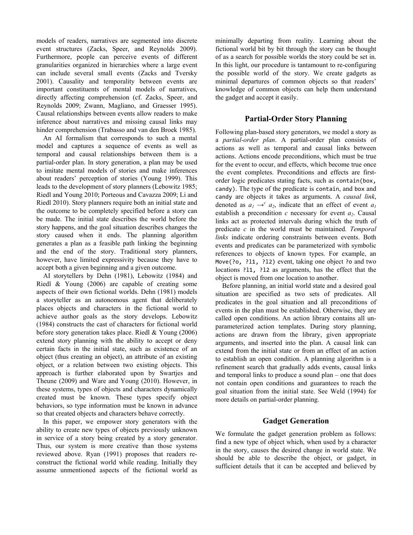models of readers, narratives are segmented into discrete event structures (Zacks, Speer, and Reynolds 2009). Furthermore, people can perceive events of different granularities organized in hierarchies where a large event can include several small events (Zacks and Tversky 2001). Causality and temporality between events are important constituents of mental models of narratives, directly affecting comprehension (cf. Zacks, Speer, and Reynolds 2009; Zwann, Magliano, and Graesser 1995). Causal relationships between events allow readers to make inference about narratives and missing causal links may hinder comprehension (Trabasso and van den Broek 1985).

 An AI formalism that corresponds to such a mental model and captures a sequence of events as well as temporal and causal relationships between them is a partial-order plan. In story generation, a plan may be used to imitate mental models of stories and make inferences about readers' perception of stories (Young 1999). This leads to the development of story planners (Lebowitz 1985; Riedl and Young 2010; Porteous and Cavazza 2009; Li and Riedl 2010). Story planners require both an initial state and the outcome to be completely specified before a story can be made. The initial state describes the world before the story happens, and the goal situation describes changes the story caused when it ends. The planning algorithm generates a plan as a feasible path linking the beginning and the end of the story. Traditional story planners, however, have limited expressivity because they have to accept both a given beginning and a given outcome.

AI storytellers by Dehn (1981), Lebowitz (1984) and Riedl & Young (2006) are capable of creating some aspects of their own fictional worlds. Dehn (1981) models a storyteller as an autonomous agent that deliberately places objects and characters in the fictional world to achieve author goals as the story develops. Lebowitz (1984) constructs the cast of characters for fictional world before story generation takes place. Riedl & Young (2006) extend story planning with the ability to accept or deny certain facts in the initial state, such as existence of an object (thus creating an object), an attribute of an existing object, or a relation between two existing objects. This approach is further elaborated upon by Swartjes and Theune (2009) and Ware and Young (2010). However, in these systems, types of objects and characters dynamically created must be known. These types specify object behaviors, so type information must be known in advance so that created objects and characters behave correctly.

In this paper, we empower story generators with the ability to create new types of objects previously unknown in service of a story being created by a story generator. Thus, our system is more creative than those systems reviewed above. Ryan (1991) proposes that readers reconstruct the fictional world while reading. Initially they assume unmentioned aspects of the fictional world as

minimally departing from reality. Learning about the fictional world bit by bit through the story can be thought of as a search for possible worlds the story could be set in. In this light, our procedure is tantamount to re-configuring the possible world of the story. We create gadgets as minimal departures of common objects so that readers' knowledge of common objects can help them understand the gadget and accept it easily.

## **Partial-Order Story Planning**

Following plan-based story generators, we model a story as a *partial-order plan*. A partial-order plan consists of actions as well as temporal and causal links between actions. Actions encode preconditions, which must be true for the event to occur, and effects, which become true once the event completes. Preconditions and effects are firstorder logic predicates stating facts, such as contain(box, candy). The type of the predicate is contain, and box and candy are objects it takes as arguments. A *causal link*, denoted as  $a_1 \rightarrow c^2 a_2$ , indicate that an effect of event  $a_1$ establish a precondition  $c$  necessary for event  $a_2$ . Causal links act as protected intervals during which the truth of predicate *c* in the world must be maintained. *Temporal links* indicate ordering constraints between events. Both events and predicates can be parameterized with symbolic references to objects of known types. For example, an Move(?o, ?l1, ?l2) event, taking one object ?o and two locations ?l1, ?l2 as arguments, has the effect that the object is moved from one location to another.

 Before planning, an initial world state and a desired goal situation are specified as two sets of predicates. All predicates in the goal situation and all preconditions of events in the plan must be established. Otherwise, they are called open conditions. An action library contains all unparameterized action templates. During story planning, actions are drawn from the library, given appropriate arguments, and inserted into the plan. A causal link can extend from the initial state or from an effect of an action to establish an open condition. A planning algorithm is a refinement search that gradually adds events, causal links and temporal links to produce a sound plan – one that does not contain open conditions and guarantees to reach the goal situation from the initial state. See Weld (1994) for more details on partial-order planning.

## **Gadget Generation**

We formulate the gadget generation problem as follows: find a new type of object which, when used by a character in the story, causes the desired change in world state. We should be able to describe the object, or gadget, in sufficient details that it can be accepted and believed by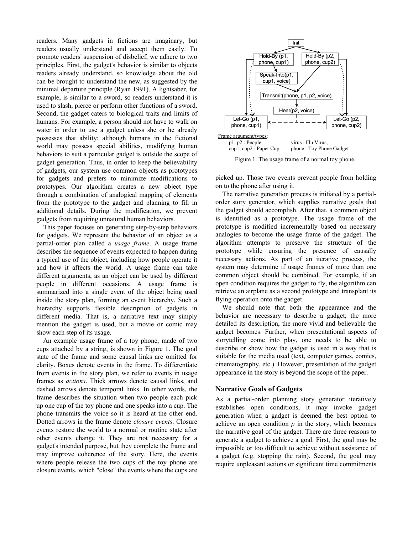readers. Many gadgets in fictions are imaginary, but readers usually understand and accept them easily. To promote readers' suspension of disbelief, we adhere to two principles. First, the gadget's behavior is similar to objects readers already understand, so knowledge about the old can be brought to understand the new, as suggested by the minimal departure principle (Ryan 1991). A lightsaber, for example, is similar to a sword, so readers understand it is used to slash, pierce or perform other functions of a sword. Second, the gadget caters to biological traits and limits of humans. For example, a person should not have to walk on water in order to use a gadget unless she or he already possesses that ability; although humans in the fictional world may possess special abilities, modifying human behaviors to suit a particular gadget is outside the scope of gadget generation. Thus, in order to keep the believability of gadgets, our system use common objects as prototypes for gadgets and prefers to minimize modifications to prototypes. Our algorithm creates a new object type through a combination of analogical mapping of elements from the prototype to the gadget and planning to fill in additional details. During the modification, we prevent gadgets from requiring unnatural human behaviors.

 This paper focuses on generating step-by-step behaviors for gadgets. We represent the behavior of an object as a partial-order plan called a *usage frame*. A usage frame describes the sequence of events expected to happen during a typical use of the object, including how people operate it and how it affects the world. A usage frame can take different arguments, as an object can be used by different people in different occasions. A usage frame is summarized into a single event of the object being used inside the story plan, forming an event hierarchy. Such a hierarchy supports flexible description of gadgets in different media. That is, a narrative text may simply mention the gadget is used, but a movie or comic may show each step of its usage.

 An example usage frame of a toy phone, made of two cups attached by a string, is shown in Figure 1. The goal state of the frame and some causal links are omitted for clarity. Boxes denote events in the frame. To differentiate from events in the story plan, we refer to events in usage frames as *actions*. Thick arrows denote causal links, and dashed arrows denote temporal links. In other words, the frame describes the situation when two people each pick up one cup of the toy phone and one speaks into a cup. The phone transmits the voice so it is heard at the other end. Dotted arrows in the frame denote *closure events*. Closure events restore the world to a normal or routine state after other events change it. They are not necessary for a gadget's intended purpose, but they complete the frame and may improve coherence of the story. Here, the events where people release the two cups of the toy phone are closure events, which "close" the events where the cups are



Figure 1. The usage frame of a normal toy phone.

picked up. Those two events prevent people from holding on to the phone after using it.

The narrative generation process is initiated by a partialorder story generator, which supplies narrative goals that the gadget should accomplish. After that, a common object is identified as a prototype. The usage frame of the prototype is modified incrementally based on necessary analogies to become the usage frame of the gadget. The algorithm attempts to preserve the structure of the prototype while ensuring the presence of causally necessary actions. As part of an iterative process, the system may determine if usage frames of more than one common object should be combined. For example, if an open condition requires the gadget to fly, the algorithm can retrieve an airplane as a second prototype and transplant its flying operation onto the gadget.

We should note that both the appearance and the behavior are necessary to describe a gadget; the more detailed its description, the more vivid and believable the gadget becomes. Further, when presentational aspects of storytelling come into play, one needs to be able to describe or show how the gadget is used in a way that is suitable for the media used (text, computer games, comics, cinematography, etc.). However, presentation of the gadget appearance in the story is beyond the scope of the paper.

#### **Narrative Goals of Gadgets**

As a partial-order planning story generator iteratively establishes open conditions, it may invoke gadget generation when a gadget is deemed the best option to achieve an open condition  $p$  in the story, which becomes the narrative goal of the gadget. There are three reasons to generate a gadget to achieve a goal. First, the goal may be impossible or too difficult to achieve without assistance of a gadget (e.g. stopping the rain). Second, the goal may require unpleasant actions or significant time commitments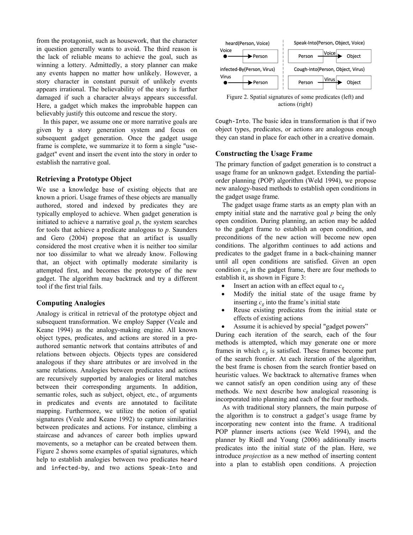from the protagonist, such as housework, that the character in question generally wants to avoid. The third reason is the lack of reliable means to achieve the goal, such as winning a lottery. Admittedly, a story planner can make any events happen no matter how unlikely. However, a story character in constant pursuit of unlikely events appears irrational. The believability of the story is further damaged if such a character always appears successful. Here, a gadget which makes the improbable happen can believably justify this outcome and rescue the story.

 In this paper, we assume one or more narrative goals are given by a story generation system and focus on subsequent gadget generation. Once the gadget usage frame is complete, we summarize it to form a single "usegadget" event and insert the event into the story in order to establish the narrative goal.

#### **Retrieving a Prototype Object**

We use a knowledge base of existing objects that are known a priori. Usage frames of these objects are manually authored, stored and indexed by predicates they are typically employed to achieve. When gadget generation is initiated to achieve a narrative goal  $p$ , the system searches for tools that achieve a predicate analogous to *p*. Saunders and Gero (2004) propose that an artifact is usually considered the most creative when it is neither too similar nor too dissimilar to what we already know. Following that, an object with optimally moderate similarity is attempted first, and becomes the prototype of the new gadget. The algorithm may backtrack and try a different tool if the first trial fails.

#### **Computing Analogies**

Analogy is critical in retrieval of the prototype object and subsequent transformation. We employ Sapper (Veale and Keane 1994) as the analogy-making engine. All known object types, predicates, and actions are stored in a preauthored semantic network that contains attributes of and relations between objects. Objects types are considered analogous if they share attributes or are involved in the same relations. Analogies between predicates and actions are recursively supported by analogies or literal matches between their corresponding arguments. In addition, semantic roles, such as subject, object, etc., of arguments in predicates and events are annotated to facilitate mapping. Furthermore, we utilize the notion of spatial signatures (Veale and Keane 1992) to capture similarities between predicates and actions. For instance, climbing a staircase and advances of career both implies upward movements, so a metaphor can be created between them. Figure 2 shows some examples of spatial signatures, which help to establish analogies between two predicates heard and infected‐by, and two actions Speak‐Into and



Figure 2. Spatial signatures of some predicates (left) and actions (right)

Cough‐Into. The basic idea in transformation is that if two object types, predicates, or actions are analogous enough they can stand in place for each other in a creative domain.

## **Constructing the Usage Frame**

The primary function of gadget generation is to construct a usage frame for an unknown gadget. Extending the partialorder planning (POP) algorithm (Weld 1994), we propose new analogy-based methods to establish open conditions in the gadget usage frame.

 The gadget usage frame starts as an empty plan with an empty initial state and the narrative goal *p* being the only open condition. During planning, an action may be added to the gadget frame to establish an open condition, and preconditions of the new action will become new open conditions. The algorithm continues to add actions and predicates to the gadget frame in a back-chaining manner until all open conditions are satisfied. Given an open condition  $c_g$  in the gadget frame, there are four methods to establish it, as shown in Figure 3:

- Insert an action with an effect equal to  $c_g$
- Modify the initial state of the usage frame by inserting  $c_g$  into the frame's initial state
- Reuse existing predicates from the initial state or effects of existing actions
- Assume it is achieved by special "gadget powers"

During each iteration of the search, each of the four methods is attempted, which may generate one or more frames in which  $c_g$  is satisfied. These frames become part of the search frontier. At each iteration of the algorithm, the best frame is chosen from the search frontier based on heuristic values. We backtrack to alternative frames when we cannot satisfy an open condition using any of these methods. We next describe how analogical reasoning is incorporated into planning and each of the four methods.

As with traditional story planners, the main purpose of the algorithm is to construct a gadget's usage frame by incorporating new content into the frame. A traditional POP planner inserts actions (see Weld 1994), and the planner by Riedl and Young (2006) additionally inserts predicates into the initial state of the plan. Here, we introduce *projection* as a new method of inserting content into a plan to establish open conditions. A projection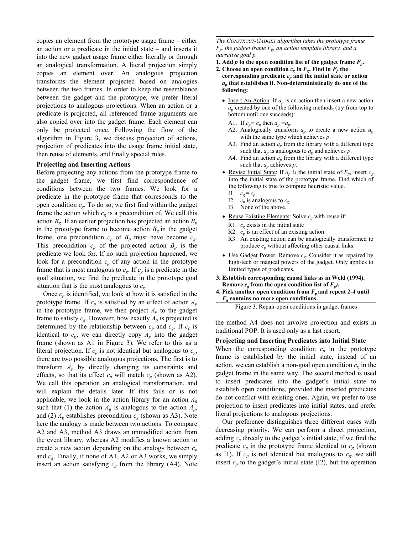copies an element from the prototype usage frame – either an action or a predicate in the initial state – and inserts it into the new gadget usage frame either literally or through an analogical transformation. A literal projection simply copies an element over. An analogous projection transforms the element projected based on analogies between the two frames. In order to keep the resemblance between the gadget and the prototype, we prefer literal projections to analogous projections. When an action or a predicate is projected, all referenced frame arguments are also copied over into the gadget frame. Each element can only be projected once. Following the flow of the algorithm in Figure 3, we discuss projection of actions, projection of predicates into the usage frame initial state, then reuse of elements, and finally special rules.

#### **Projecting and Inserting Actions**

Before projecting any actions from the prototype frame to the gadget frame, we first find correspondence of conditions between the two frames. We look for a predicate in the prototype frame that corresponds to the open condition *cg*. To do so, we first find within the gadget frame the action which  $c_g$  is a precondition of. We call this action  $B_g$ . If an earlier projection has projected an action  $B_p$ in the prototype frame to become action  $B_g$  in the gadget frame, one precondition  $c_p$  of  $B_p$  must have become  $c_g$ . This precondition  $c_p$  of the projected action  $B_p$  is the predicate we look for. If no such projection happened, we look for a precondition  $c_p$  of any action in the prototype frame that is most analogous to  $c_g$ . If  $c_g$  is a predicate in the goal situation, we find the predicate in the prototype goal situation that is the most analogous to *cg*.

Once  $c_p$  is identified, we look at how it is satisfied in the prototype frame. If  $c_p$  is satisfied by an effect of action  $A_p$ in the prototype frame, we then project  $A_p$  to the gadget frame to satisfy  $c_g$ . However, how exactly  $A_p$  is projected is determined by the relationship between  $c_p$  and  $c_g$ . If  $c_p$  is identical to  $c_g$ , we can directly copy  $A_p$  into the gadget frame (shown as A1 in Figure 3). We refer to this as a literal projection. If  $c_p$  is not identical but analogous to  $c_g$ , there are two possible analogous projections. The first is to transform  $A_p$  by directly changing its constraints and effects, so that its effect  $c_p$  will match  $c_g$  (shown as A2). We call this operation an analogical transformation, and will explain the details later. If this fails or is not applicable, we look in the action library for an action *Ag* such that (1) the action  $A_g$  is analogous to the action  $A_p$ , and (2)  $A_g$  establishes precondition  $c_g$  (shown as A3). Note here the analogy is made between two actions. To compare A2 and A3, method A3 draws an unmodified action from the event library, whereas A2 modifies a known action to create a new action depending on the analogy between  $c_p$ and  $c_g$ . Finally, if none of A1, A2 or A3 works, we simply insert an action satisfying  $c_g$  from the library (A4). Note

*The CONSTRUCT-GADGET algorithm takes the prototype frame*   $F_p$ , the gadget frame  $F_g$ , an action template library, and a *narrative goal p.* 

**1.** Add  $p$  to the open condition list of the gadget frame  $F_q$ .

- **2.** Choose an open condition  $c_g$  in  $F_g$ . Find in  $F_p$  the corresponding predicate  $c_p$  and the initial state or action *ap* **that establishes it. Non-deterministically do one of the following:**
	- Insert An Action: If  $a_p$  is an action then insert a new action  $a_g$  created by one of the following methods (try from top to bottom until one succeeds):
		- A1. If  $c_g = c_p$  then  $a_g = a_p$ .
		- A2. Analogically transform *ap* to create a new action *ag* with the same type which achieves *p*.
		- A3. Find an action  $a_p$  from the library with a different type such that  $a_p$  is analogous to  $a_g$  and achieves p.
		- A4. Find an action  $a_p$  from the library with a different type such that *ap* achieves *p*.
	- <u>Revise Initial State</u>: If  $a_p$  is the initial state of  $F_p$ , insert  $c_g$ into the initial state of the prototype frame. Find which of the following is true to compute heuristic value.
		- $11. \quad c_g = c_p$
		- I2.  $c_p$  is analogous to  $c_g$ .
		- I3. None of the above.
	- <u>Reuse Existing Elements</u>: Solve  $c_g$  with reuse if:
		- R1.  $c_g$  exists in the initial state
		- R2. *cg* is an effect of an existing action
		- R3. An existing action can be analogically transformed to produce  $c_g$  without affecting other causal links.
	- Use Gadget Power: Remove *cg*. Consider it as repaired by high-tech or magical powers of the gadget. Only applies to limited types of predicates.
- **3. Establish corresponding causal links as in Weld (1994). Remove**  $c_g$  **from the open condition list of**  $F_g$ **).**
- **4. Pick another open condition from**  $F_g$  **and repeat 2-4 until** *Fg* **contains no more open conditions.**

the method A4 does not involve projection and exists in traditional POP. It is used only as a last resort.

#### **Projecting and Inserting Predicates into Initial State**

When the corresponding condition  $c_p$  in the prototype frame is established by the initial state, instead of an action, we can establish a non-goal open condition  $c_{\varphi}$  in the gadget frame in the same way. The second method is used to insert predicates into the gadget's initial state to establish open conditions, provided the inserted predicates do not conflict with existing ones. Again, we prefer to use projection to insert predicates into initial states, and prefer literal projections to analogous projections.

 Our preference distinguishes three different cases with decreasing priority. We can perform a direct projection, adding  $c_p$  directly to the gadget's initial state, if we find the predicate  $c_p$  in the prototype frame identical to  $c_g$  (shown as I1). If  $c_p$  is not identical but analogous to  $c_g$ , we still insert  $c_p$  to the gadget's initial state (I2), but the operation

Figure 3. Repair open conditions in gadget frames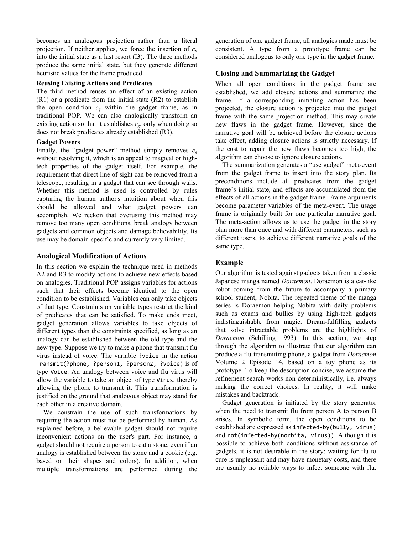becomes an analogous projection rather than a literal projection. If neither applies, we force the insertion of  $c_p$ into the initial state as a last resort (I3). The three methods produce the same initial state, but they generate different heuristic values for the frame produced.

#### **Reusing Existing Actions and Predicates**

The third method reuses an effect of an existing action (R1) or a predicate from the initial state (R2) to establish the open condition  $c_g$  within the gadget frame, as in traditional POP. We can also analogically transform an existing action so that it establishes  $c_g$ , only when doing so does not break predicates already established (R3).

#### **Gadget Powers**

Finally, the "gadget power" method simply removes  $c_g$ without resolving it, which is an appeal to magical or hightech properties of the gadget itself. For example, the requirement that direct line of sight can be removed from a telescope, resulting in a gadget that can see through walls. Whether this method is used is controlled by rules capturing the human author's intuition about when this should be allowed and what gadget powers can accomplish. We reckon that overusing this method may remove too many open conditions, break analogy between gadgets and common objects and damage believability. Its use may be domain-specific and currently very limited.

#### **Analogical Modification of Actions**

In this section we explain the technique used in methods A2 and R3 to modify actions to achieve new effects based on analogies. Traditional POP assigns variables for actions such that their effects become identical to the open condition to be established. Variables can only take objects of that type. Constraints on variable types restrict the kind of predicates that can be satisfied. To make ends meet, gadget generation allows variables to take objects of different types than the constraints specified, as long as an analogy can be established between the old type and the new type. Suppose we try to make a phone that transmit flu virus instead of voice. The variable ?voice in the action Transmit(?phone, ?person1, ?person2, ?voice) is of type Voice. An analogy between voice and flu virus will allow the variable to take an object of type Virus, thereby allowing the phone to transmit it. This transformation is justified on the ground that analogous object may stand for each other in a creative domain.

 We constrain the use of such transformations by requiring the action must not be performed by human. As explained before, a believable gadget should not require inconvenient actions on the user's part. For instance, a gadget should not require a person to eat a stone, even if an analogy is established between the stone and a cookie (e.g. based on their shapes and colors). In addition, when multiple transformations are performed during the

generation of one gadget frame, all analogies made must be consistent. A type from a prototype frame can be considered analogous to only one type in the gadget frame.

#### **Closing and Summarizing the Gadget**

When all open conditions in the gadget frame are established, we add closure actions and summarize the frame. If a corresponding initiating action has been projected, the closure action is projected into the gadget frame with the same projection method. This may create new flaws in the gadget frame. However, since the narrative goal will be achieved before the closure actions take effect, adding closure actions is strictly necessary. If the cost to repair the new flaws becomes too high, the algorithm can choose to ignore closure actions.

 The summarization generates a "use gadget" meta-event from the gadget frame to insert into the story plan. Its preconditions include all predicates from the gadget frame's initial state, and effects are accumulated from the effects of all actions in the gadget frame. Frame arguments become parameter variables of the meta-event. The usage frame is originally built for one particular narrative goal. The meta-action allows us to use the gadget in the story plan more than once and with different parameters, such as different users, to achieve different narrative goals of the same type.

#### **Example**

Our algorithm is tested against gadgets taken from a classic Japanese manga named *Doraemon*. Doraemon is a cat-like robot coming from the future to accompany a primary school student, Nobita. The repeated theme of the manga series is Doraemon helping Nobita with daily problems such as exams and bullies by using high-tech gadgets indistinguishable from magic. Dream-fulfilling gadgets that solve intractable problems are the highlights of *Doraemon* (Schilling 1993). In this section, we step through the algorithm to illustrate that our algorithm can produce a flu-transmitting phone, a gadget from *Doraemon* Volume 2 Episode 14, based on a toy phone as its prototype. To keep the description concise, we assume the refinement search works non-deterministically, i.e. always making the correct choices. In reality, it will make mistakes and backtrack.

 Gadget generation is initiated by the story generator when the need to transmit flu from person A to person B arises. In symbolic form, the open conditions to be established are expressed as infected‐by(bully, virus) and not(infected‐by(norbita, virus)). Although it is possible to achieve both conditions without assistance of gadgets, it is not desirable in the story; waiting for flu to cure is unpleasant and may have monetary costs, and there are usually no reliable ways to infect someone with flu.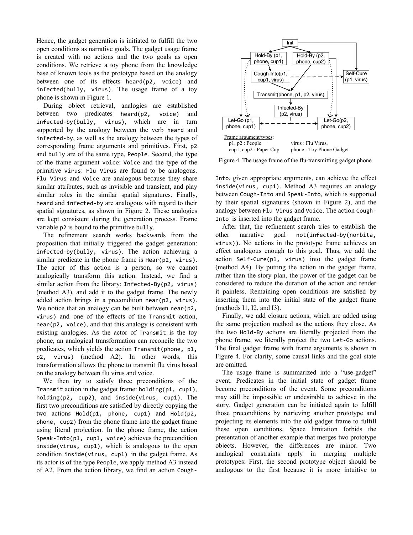Hence, the gadget generation is initiated to fulfill the two open conditions as narrative goals. The gadget usage frame is created with no actions and the two goals as open conditions. We retrieve a toy phone from the knowledge base of known tools as the prototype based on the analogy between one of its effects heard(p2, voice) and infected(bully, virus). The usage frame of a toy phone is shown in Figure 1.

 During object retrieval, analogies are established between two predicates heard(p2, voice) and infected‐by(bully, virus), which are in turn supported by the analogy between the verb heard and infected‐by, as well as the analogy between the types of corresponding frame arguments and primitives. First, p2 and bully are of the same type, People. Second, the type of the frame argument voice: Voice and the type of the primitive virus: Flu Virus are found to be analogous. Flu Virus and Voice are analogous because they share similar attributes, such as invisible and transient, and play similar roles in the similar spatial signatures. Finally, heard and infected‐by are analogous with regard to their spatial signatures, as shown in Figure 2. These analogies are kept consistent during the generation process. Frame variable p2 is bound to the primitive bully.

 The refinement search works backwards from the proposition that initially triggered the gadget generation: infected‐by(bully, virus). The action achieving a similar predicate in the phone frame is Hear(p2, virus). The actor of this action is a person, so we cannot analogically transform this action. Instead, we find a similar action from the library: Infected-By(p2, virus) (method A3), and add it to the gadget frame. The newly added action brings in a precondition near(p2, virus). We notice that an analogy can be built between near(p2, virus) and one of the effects of the Transmit action, near(p2, voice), and that this analogy is consistent with existing analogies. As the actor of Transmit is the toy phone, an analogical transformation can reconcile the two predicates, which yields the action Transmit(phone, p1, p2, virus) (method A2). In other words, this transformation allows the phone to transmit flu virus based on the analogy between flu virus and voice.

 We then try to satisfy three preconditions of the Transmit action in the gadget frame: holding(p1, cup1), holding(p2, cup2), and inside(virus, cup1). The first two preconditions are satisfied by directly copying the two actions Hold(p1, phone, cup1) and Hold(p2, phone, cup2) from the phone frame into the gadget frame using literal projection. In the phone frame, the action Speak-Into(p1, cup1, voice) achieves the precondition inside(virus, cup1), which is analogous to the open condition inside(virus, cup1) in the gadget frame. As its actor is of the type People, we apply method A3 instead of A2. From the action library, we find an action Cough‐



Figure 4. The usage frame of the flu-transmitting gadget phone

Into, given appropriate arguments, can achieve the effect inside(virus, cup1). Method A3 requires an analogy between Cough‐Into and Speak‐Into, which is supported by their spatial signatures (shown in Figure 2), and the analogy between Flu Virus and Voice. The action Cough‐ Into is inserted into the gadget frame.

 After that, the refinement search tries to establish the other narrative goal not(infected‐by(norbita, virus)). No actions in the prototype frame achieves an effect analogous enough to this goal. Thus, we add the action Self‐Cure(p1, virus) into the gadget frame (method A4). By putting the action in the gadget frame, rather than the story plan, the power of the gadget can be considered to reduce the duration of the action and render it painless. Remaining open conditions are satisfied by inserting them into the initial state of the gadget frame (methods I1, I2, and I3).

 Finally, we add closure actions, which are added using the same projection method as the actions they close. As the two Hold‐By actions are literally projected from the phone frame, we literally project the two Let‐Go actions. The final gadget frame with frame arguments is shown in Figure 4. For clarity, some causal links and the goal state are omitted.

The usage frame is summarized into a "use-gadget" event. Predicates in the initial state of gadget frame become preconditions of the event. Some preconditions may still be impossible or undesirable to achieve in the story. Gadget generation can be initiated again to fulfill those preconditions by retrieving another prototype and projecting its elements into the old gadget frame to fulfill these open conditions. Space limitation forbids the presentation of another example that merges two prototype objects. However, the differences are minor. Two analogical constraints apply in merging multiple prototypes: First, the second prototype object should be analogous to the first because it is more intuitive to